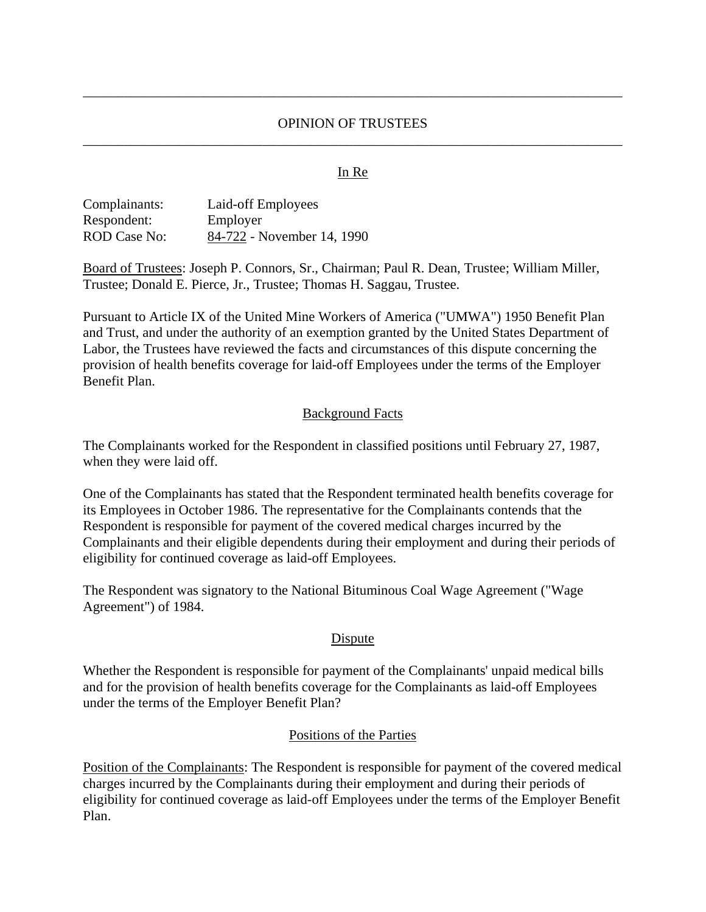## OPINION OF TRUSTEES \_\_\_\_\_\_\_\_\_\_\_\_\_\_\_\_\_\_\_\_\_\_\_\_\_\_\_\_\_\_\_\_\_\_\_\_\_\_\_\_\_\_\_\_\_\_\_\_\_\_\_\_\_\_\_\_\_\_\_\_\_\_\_\_\_\_\_\_\_\_\_\_\_\_\_\_\_\_

\_\_\_\_\_\_\_\_\_\_\_\_\_\_\_\_\_\_\_\_\_\_\_\_\_\_\_\_\_\_\_\_\_\_\_\_\_\_\_\_\_\_\_\_\_\_\_\_\_\_\_\_\_\_\_\_\_\_\_\_\_\_\_\_\_\_\_\_\_\_\_\_\_\_\_\_\_\_

#### **In Re**

| Complainants: | Laid-off Employees         |
|---------------|----------------------------|
| Respondent:   | Employer                   |
| ROD Case No:  | 84-722 - November 14, 1990 |

Board of Trustees: Joseph P. Connors, Sr., Chairman; Paul R. Dean, Trustee; William Miller, Trustee; Donald E. Pierce, Jr., Trustee; Thomas H. Saggau, Trustee.

Pursuant to Article IX of the United Mine Workers of America ("UMWA") 1950 Benefit Plan and Trust, and under the authority of an exemption granted by the United States Department of Labor, the Trustees have reviewed the facts and circumstances of this dispute concerning the provision of health benefits coverage for laid-off Employees under the terms of the Employer Benefit Plan.

#### Background Facts

The Complainants worked for the Respondent in classified positions until February 27, 1987, when they were laid off.

One of the Complainants has stated that the Respondent terminated health benefits coverage for its Employees in October 1986. The representative for the Complainants contends that the Respondent is responsible for payment of the covered medical charges incurred by the Complainants and their eligible dependents during their employment and during their periods of eligibility for continued coverage as laid-off Employees.

The Respondent was signatory to the National Bituminous Coal Wage Agreement ("Wage Agreement") of 1984.

### **Dispute**

Whether the Respondent is responsible for payment of the Complainants' unpaid medical bills and for the provision of health benefits coverage for the Complainants as laid-off Employees under the terms of the Employer Benefit Plan?

### Positions of the Parties

Position of the Complainants: The Respondent is responsible for payment of the covered medical charges incurred by the Complainants during their employment and during their periods of eligibility for continued coverage as laid-off Employees under the terms of the Employer Benefit Plan.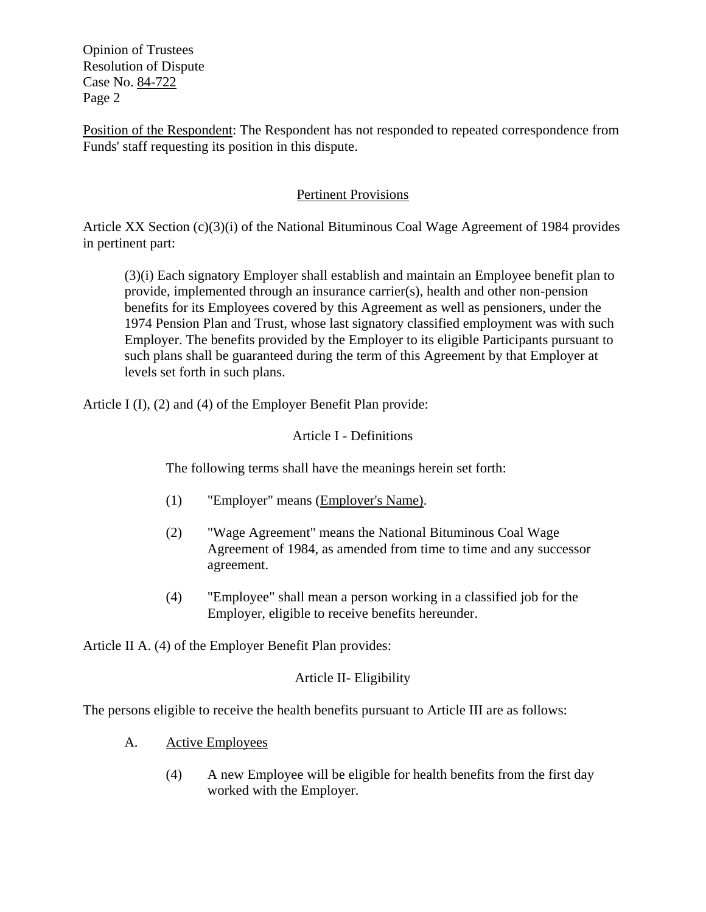Opinion of Trustees Resolution of Dispute Case No. 84-722 Page 2

Position of the Respondent: The Respondent has not responded to repeated correspondence from Funds' staff requesting its position in this dispute.

# Pertinent Provisions

Article XX Section (c)(3)(i) of the National Bituminous Coal Wage Agreement of 1984 provides in pertinent part:

(3)(i) Each signatory Employer shall establish and maintain an Employee benefit plan to provide, implemented through an insurance carrier(s), health and other non-pension benefits for its Employees covered by this Agreement as well as pensioners, under the 1974 Pension Plan and Trust, whose last signatory classified employment was with such Employer. The benefits provided by the Employer to its eligible Participants pursuant to such plans shall be guaranteed during the term of this Agreement by that Employer at levels set forth in such plans.

Article I (I), (2) and (4) of the Employer Benefit Plan provide:

# Article I - Definitions

The following terms shall have the meanings herein set forth:

- (1) "Employer" means (Employer's Name).
- (2) "Wage Agreement" means the National Bituminous Coal Wage Agreement of 1984, as amended from time to time and any successor agreement.
- (4) "Employee" shall mean a person working in a classified job for the Employer, eligible to receive benefits hereunder.

Article II A. (4) of the Employer Benefit Plan provides:

# Article II- Eligibility

The persons eligible to receive the health benefits pursuant to Article III are as follows:

- A. Active Employees
	- (4) A new Employee will be eligible for health benefits from the first day worked with the Employer.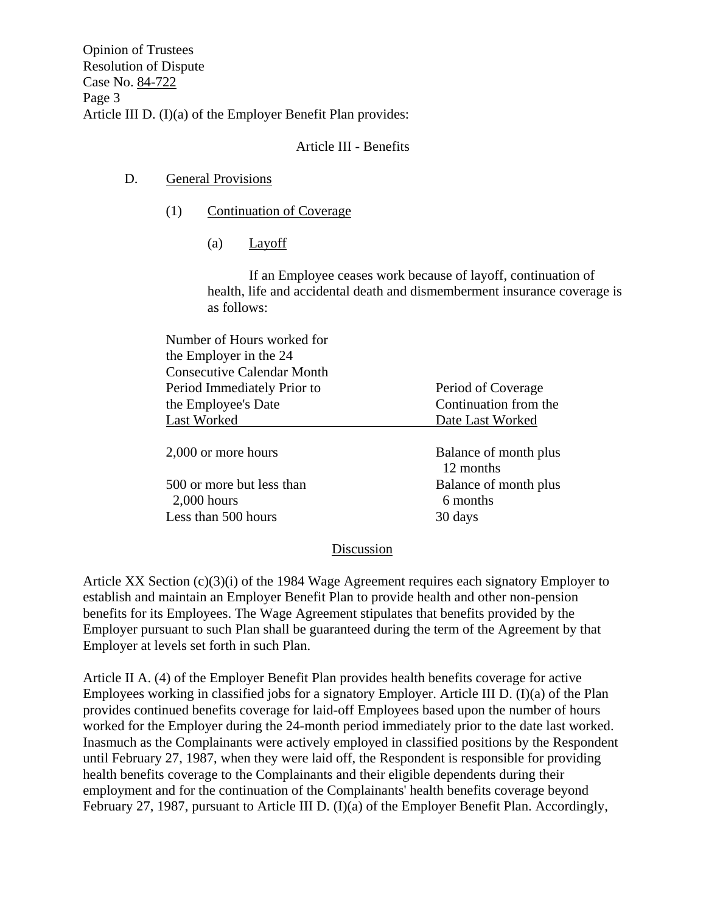Opinion of Trustees Resolution of Dispute Case No. 84-722 Page 3 Article III D. (I)(a) of the Employer Benefit Plan provides:

## Article III - Benefits

## D. General Provisions

- (1) Continuation of Coverage
	- (a) Layoff

If an Employee ceases work because of layoff, continuation of health, life and accidental death and dismemberment insurance coverage is as follows:

| Number of Hours worked for                 |                                    |
|--------------------------------------------|------------------------------------|
| the Employer in the 24                     |                                    |
| <b>Consecutive Calendar Month</b>          |                                    |
| Period Immediately Prior to                | Period of Coverage                 |
| the Employee's Date                        | Continuation from the              |
| Last Worked                                | Date Last Worked                   |
| 2,000 or more hours                        | Balance of month plus<br>12 months |
| 500 or more but less than<br>$2,000$ hours | Balance of month plus<br>6 months  |
| Less than 500 hours                        | 30 days                            |

### Discussion

Article XX Section (c)(3)(i) of the 1984 Wage Agreement requires each signatory Employer to establish and maintain an Employer Benefit Plan to provide health and other non-pension benefits for its Employees. The Wage Agreement stipulates that benefits provided by the Employer pursuant to such Plan shall be guaranteed during the term of the Agreement by that Employer at levels set forth in such Plan.

Article II A. (4) of the Employer Benefit Plan provides health benefits coverage for active Employees working in classified jobs for a signatory Employer. Article III D. (I)(a) of the Plan provides continued benefits coverage for laid-off Employees based upon the number of hours worked for the Employer during the 24-month period immediately prior to the date last worked. Inasmuch as the Complainants were actively employed in classified positions by the Respondent until February 27, 1987, when they were laid off, the Respondent is responsible for providing health benefits coverage to the Complainants and their eligible dependents during their employment and for the continuation of the Complainants' health benefits coverage beyond February 27, 1987, pursuant to Article III D. (I)(a) of the Employer Benefit Plan. Accordingly,